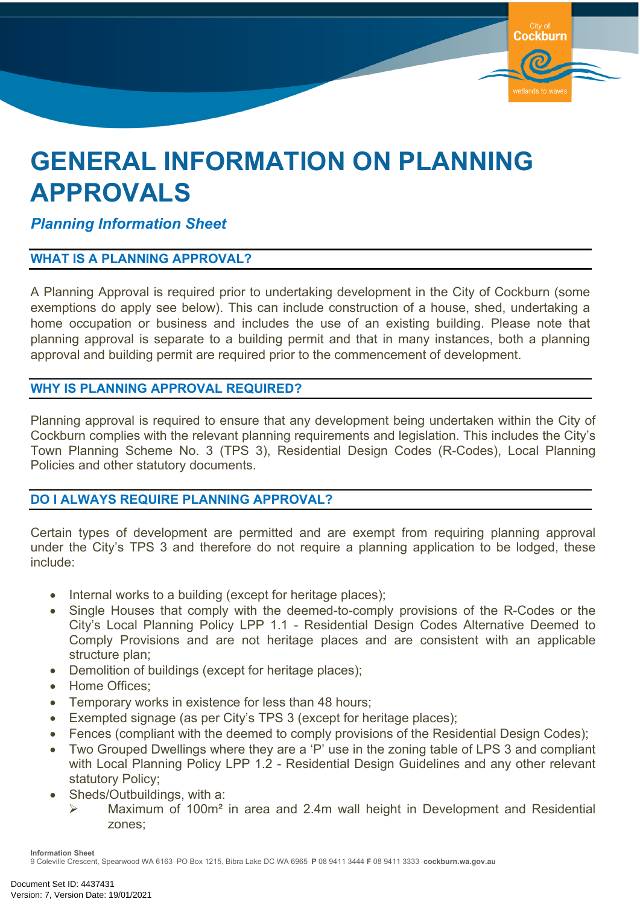

# **GENERAL INFORMATION ON PLANNING APPROVALS**

## *Planning Information Sheet*

### **WHAT IS A PLANNING APPROVAL?**

A Planning Approval is required prior to undertaking development in the City of Cockburn (some exemptions do apply see below). This can include construction of a house, shed, undertaking a home occupation or business and includes the use of an existing building. Please note that planning approval is separate to a building permit and that in many instances, both a planning approval and building permit are required prior to the commencement of development.

### **WHY IS PLANNING APPROVAL REQUIRED?**

Planning approval is required to ensure that any development being undertaken within the City of Cockburn complies with the relevant planning requirements and legislation. This includes the City's Town Planning Scheme No. 3 (TPS 3), Residential Design Codes (R-Codes), Local Planning Policies and other statutory documents.

#### **DO I ALWAYS REQUIRE PLANNING APPROVAL?**

Certain types of development are permitted and are exempt from requiring planning approval under the City's TPS 3 and therefore do not require a planning application to be lodged, these include:

- Internal works to a building (except for heritage places);
- Single Houses that comply with the deemed-to-comply provisions of the R-Codes or the City's Local Planning Policy LPP 1.1 - Residential Design Codes Alternative Deemed to Comply Provisions and are not heritage places and are consistent with an applicable structure plan:
- Demolition of buildings (except for heritage places);
- Home Offices:
- Temporary works in existence for less than 48 hours;
- Exempted signage (as per City's TPS 3 (except for heritage places);
- Fences (compliant with the deemed to comply provisions of the Residential Design Codes);
- Two Grouped Dwellings where they are a 'P' use in the zoning table of LPS 3 and compliant with Local Planning Policy LPP 1.2 - Residential Design Guidelines and any other relevant statutory Policy;
- Sheds/Outbuildings, with a:
	- Maximum of 100m² in area and 2.4m wall height in Development and Residential zones;

**Information Sheet**

9 Coleville Crescent, Spearwood WA 6163 PO Box 1215, Bibra Lake DC WA 6965 **P** 08 9411 3444 **F** 08 9411 3333 **cockburn.wa.gov.au**